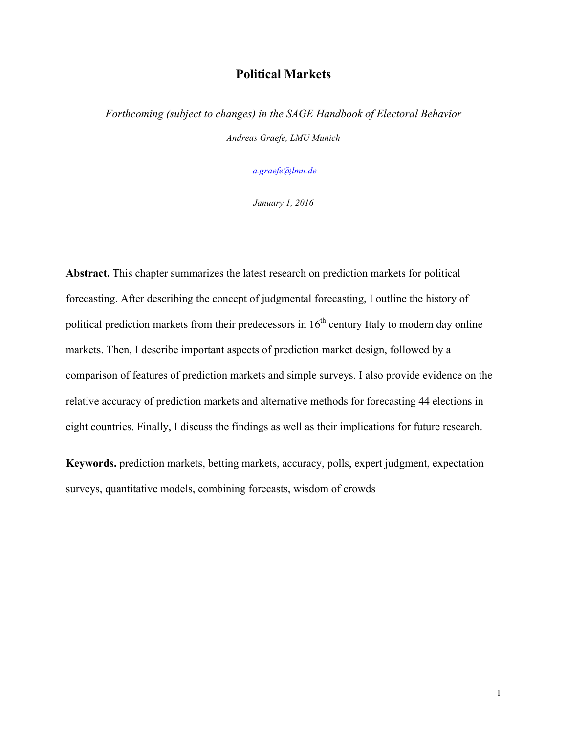# **Political Markets**

*Forthcoming (subject to changes) in the SAGE Handbook of Electoral Behavior Andreas Graefe, LMU Munich*

*a.graefe@lmu.de*

*January 1, 2016*

**Abstract.** This chapter summarizes the latest research on prediction markets for political forecasting. After describing the concept of judgmental forecasting, I outline the history of political prediction markets from their predecessors in  $16<sup>th</sup>$  century Italy to modern day online markets. Then, I describe important aspects of prediction market design, followed by a comparison of features of prediction markets and simple surveys. I also provide evidence on the relative accuracy of prediction markets and alternative methods for forecasting 44 elections in eight countries. Finally, I discuss the findings as well as their implications for future research.

**Keywords.** prediction markets, betting markets, accuracy, polls, expert judgment, expectation surveys, quantitative models, combining forecasts, wisdom of crowds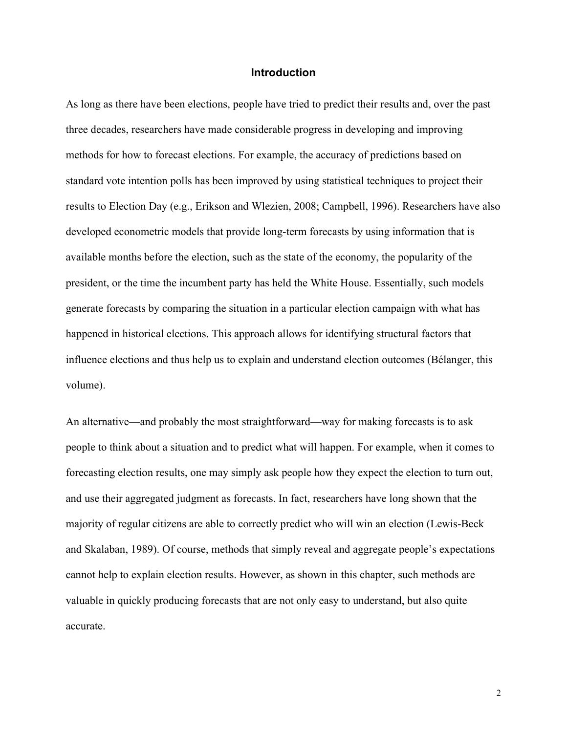## **Introduction**

As long as there have been elections, people have tried to predict their results and, over the past three decades, researchers have made considerable progress in developing and improving methods for how to forecast elections. For example, the accuracy of predictions based on standard vote intention polls has been improved by using statistical techniques to project their results to Election Day (e.g., Erikson and Wlezien, 2008; Campbell, 1996). Researchers have also developed econometric models that provide long-term forecasts by using information that is available months before the election, such as the state of the economy, the popularity of the president, or the time the incumbent party has held the White House. Essentially, such models generate forecasts by comparing the situation in a particular election campaign with what has happened in historical elections. This approach allows for identifying structural factors that influence elections and thus help us to explain and understand election outcomes (Bélanger, this volume).

An alternative—and probably the most straightforward—way for making forecasts is to ask people to think about a situation and to predict what will happen. For example, when it comes to forecasting election results, one may simply ask people how they expect the election to turn out, and use their aggregated judgment as forecasts. In fact, researchers have long shown that the majority of regular citizens are able to correctly predict who will win an election (Lewis-Beck and Skalaban, 1989). Of course, methods that simply reveal and aggregate people's expectations cannot help to explain election results. However, as shown in this chapter, such methods are valuable in quickly producing forecasts that are not only easy to understand, but also quite accurate.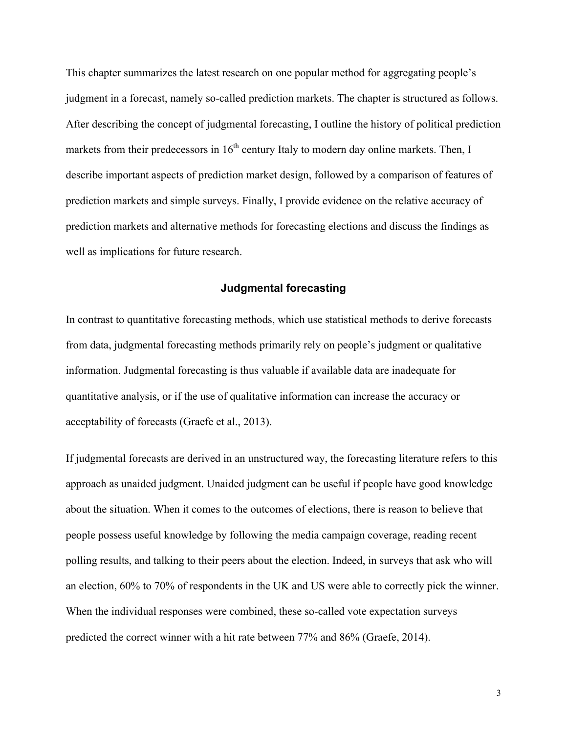This chapter summarizes the latest research on one popular method for aggregating people's judgment in a forecast, namely so-called prediction markets. The chapter is structured as follows. After describing the concept of judgmental forecasting, I outline the history of political prediction markets from their predecessors in  $16<sup>th</sup>$  century Italy to modern day online markets. Then, I describe important aspects of prediction market design, followed by a comparison of features of prediction markets and simple surveys. Finally, I provide evidence on the relative accuracy of prediction markets and alternative methods for forecasting elections and discuss the findings as well as implications for future research.

## **Judgmental forecasting**

In contrast to quantitative forecasting methods, which use statistical methods to derive forecasts from data, judgmental forecasting methods primarily rely on people's judgment or qualitative information. Judgmental forecasting is thus valuable if available data are inadequate for quantitative analysis, or if the use of qualitative information can increase the accuracy or acceptability of forecasts (Graefe et al., 2013).

If judgmental forecasts are derived in an unstructured way, the forecasting literature refers to this approach as unaided judgment. Unaided judgment can be useful if people have good knowledge about the situation. When it comes to the outcomes of elections, there is reason to believe that people possess useful knowledge by following the media campaign coverage, reading recent polling results, and talking to their peers about the election. Indeed, in surveys that ask who will an election, 60% to 70% of respondents in the UK and US were able to correctly pick the winner. When the individual responses were combined, these so-called vote expectation surveys predicted the correct winner with a hit rate between 77% and 86% (Graefe, 2014).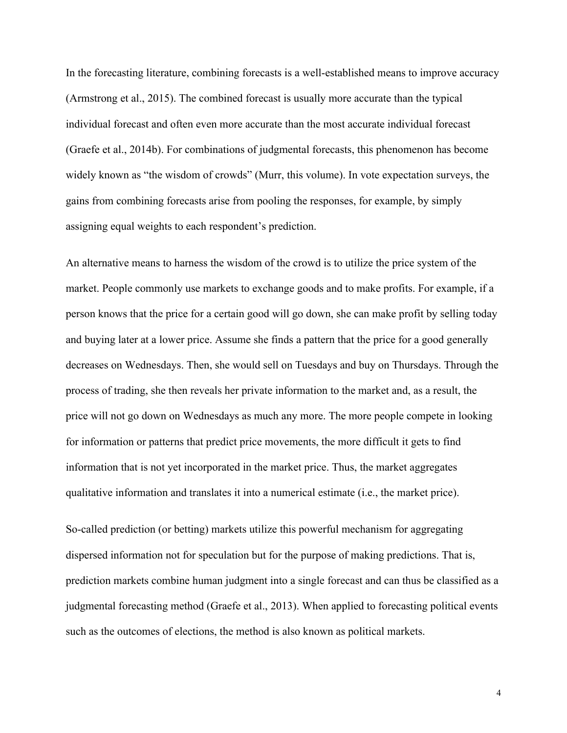In the forecasting literature, combining forecasts is a well-established means to improve accuracy (Armstrong et al., 2015). The combined forecast is usually more accurate than the typical individual forecast and often even more accurate than the most accurate individual forecast (Graefe et al., 2014b). For combinations of judgmental forecasts, this phenomenon has become widely known as "the wisdom of crowds" (Murr, this volume). In vote expectation surveys, the gains from combining forecasts arise from pooling the responses, for example, by simply assigning equal weights to each respondent's prediction.

An alternative means to harness the wisdom of the crowd is to utilize the price system of the market. People commonly use markets to exchange goods and to make profits. For example, if a person knows that the price for a certain good will go down, she can make profit by selling today and buying later at a lower price. Assume she finds a pattern that the price for a good generally decreases on Wednesdays. Then, she would sell on Tuesdays and buy on Thursdays. Through the process of trading, she then reveals her private information to the market and, as a result, the price will not go down on Wednesdays as much any more. The more people compete in looking for information or patterns that predict price movements, the more difficult it gets to find information that is not yet incorporated in the market price. Thus, the market aggregates qualitative information and translates it into a numerical estimate (i.e., the market price).

So-called prediction (or betting) markets utilize this powerful mechanism for aggregating dispersed information not for speculation but for the purpose of making predictions. That is, prediction markets combine human judgment into a single forecast and can thus be classified as a judgmental forecasting method (Graefe et al., 2013). When applied to forecasting political events such as the outcomes of elections, the method is also known as political markets.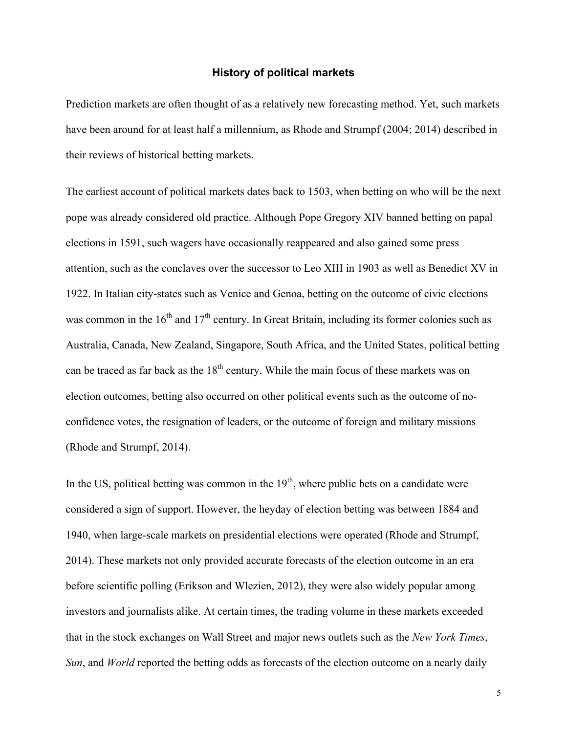## **History of political markets**

Prediction markets are often thought of as a relatively new forecasting method. Yet, such markets have been around for at least half a millennium, as Rhode and Strumpf (2004; 2014) described in their reviews of historical betting markets.

The earliest account of political markets dates back to 1503, when betting on who will be the next pope was already considered old practice. Although Pope Gregory XIV banned betting on papal elections in 1591, such wagers have occasionally reappeared and also gained some press attention, such as the conclaves over the successor to Leo XIII in 1903 as well as Benedict XV in 1922. In Italian city-states such as Venice and Genoa, betting on the outcome of civic elections was common in the  $16<sup>th</sup>$  and  $17<sup>th</sup>$  century. In Great Britain, including its former colonies such as Australia, Canada, New Zealand, Singapore, South Africa, and the United States, political betting can be traced as far back as the  $18<sup>th</sup>$  century. While the main focus of these markets was on election outcomes, betting also occurred on other political events such as the outcome of noconfidence votes, the resignation of leaders, or the outcome of foreign and military missions (Rhode and Strumpf, 2014).

In the US, political betting was common in the  $19<sup>th</sup>$ , where public bets on a candidate were considered a sign of support. However, the heyday of election betting was between 1884 and 1940, when large-scale markets on presidential elections were operated (Rhode and Strumpf, 2014). These markets not only provided accurate forecasts of the election outcome in an era before scientific polling (Erikson and Wlezien, 2012), they were also widely popular among investors and journalists alike. At certain times, the trading volume in these markets exceeded that in the stock exchanges on Wall Street and major news outlets such as the *New York Times*, *Sun*, and *World* reported the betting odds as forecasts of the election outcome on a nearly daily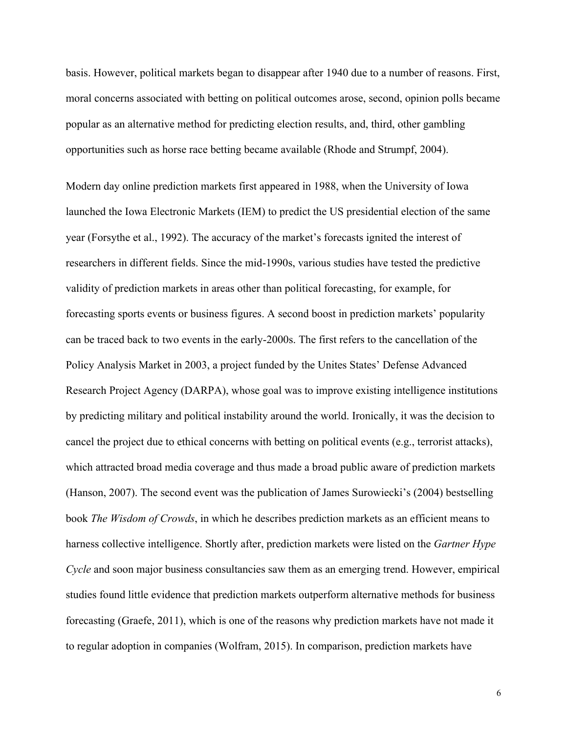basis. However, political markets began to disappear after 1940 due to a number of reasons. First, moral concerns associated with betting on political outcomes arose, second, opinion polls became popular as an alternative method for predicting election results, and, third, other gambling opportunities such as horse race betting became available (Rhode and Strumpf, 2004).

Modern day online prediction markets first appeared in 1988, when the University of Iowa launched the Iowa Electronic Markets (IEM) to predict the US presidential election of the same year (Forsythe et al., 1992). The accuracy of the market's forecasts ignited the interest of researchers in different fields. Since the mid-1990s, various studies have tested the predictive validity of prediction markets in areas other than political forecasting, for example, for forecasting sports events or business figures. A second boost in prediction markets' popularity can be traced back to two events in the early-2000s. The first refers to the cancellation of the Policy Analysis Market in 2003, a project funded by the Unites States' Defense Advanced Research Project Agency (DARPA), whose goal was to improve existing intelligence institutions by predicting military and political instability around the world. Ironically, it was the decision to cancel the project due to ethical concerns with betting on political events (e.g., terrorist attacks), which attracted broad media coverage and thus made a broad public aware of prediction markets (Hanson, 2007). The second event was the publication of James Surowiecki's (2004) bestselling book *The Wisdom of Crowds*, in which he describes prediction markets as an efficient means to harness collective intelligence. Shortly after, prediction markets were listed on the *Gartner Hype Cycle* and soon major business consultancies saw them as an emerging trend. However, empirical studies found little evidence that prediction markets outperform alternative methods for business forecasting (Graefe, 2011), which is one of the reasons why prediction markets have not made it to regular adoption in companies (Wolfram, 2015). In comparison, prediction markets have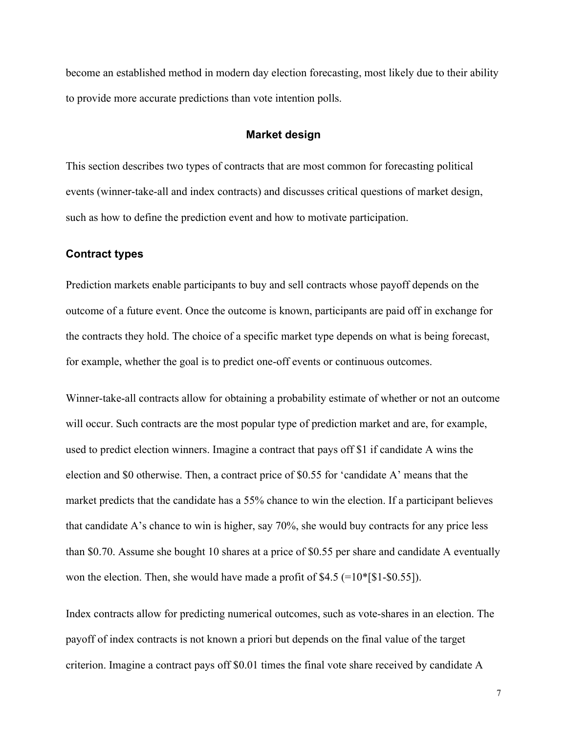become an established method in modern day election forecasting, most likely due to their ability to provide more accurate predictions than vote intention polls.

### **Market design**

This section describes two types of contracts that are most common for forecasting political events (winner-take-all and index contracts) and discusses critical questions of market design, such as how to define the prediction event and how to motivate participation.

## **Contract types**

Prediction markets enable participants to buy and sell contracts whose payoff depends on the outcome of a future event. Once the outcome is known, participants are paid off in exchange for the contracts they hold. The choice of a specific market type depends on what is being forecast, for example, whether the goal is to predict one-off events or continuous outcomes.

Winner-take-all contracts allow for obtaining a probability estimate of whether or not an outcome will occur. Such contracts are the most popular type of prediction market and are, for example, used to predict election winners. Imagine a contract that pays off \$1 if candidate A wins the election and \$0 otherwise. Then, a contract price of \$0.55 for 'candidate A' means that the market predicts that the candidate has a 55% chance to win the election. If a participant believes that candidate A's chance to win is higher, say 70%, she would buy contracts for any price less than \$0.70. Assume she bought 10 shares at a price of \$0.55 per share and candidate A eventually won the election. Then, she would have made a profit of \$4.5 (=10\*[\$1-\$0.55]).

Index contracts allow for predicting numerical outcomes, such as vote-shares in an election. The payoff of index contracts is not known a priori but depends on the final value of the target criterion. Imagine a contract pays off \$0.01 times the final vote share received by candidate A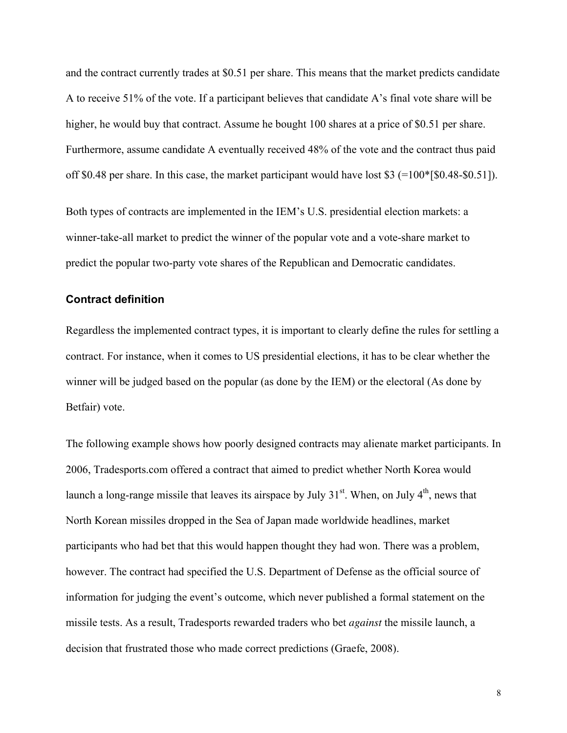and the contract currently trades at \$0.51 per share. This means that the market predicts candidate A to receive 51% of the vote. If a participant believes that candidate A's final vote share will be higher, he would buy that contract. Assume he bought 100 shares at a price of \$0.51 per share. Furthermore, assume candidate A eventually received 48% of the vote and the contract thus paid off \$0.48 per share. In this case, the market participant would have lost \$3  $(=100*$ [\$0.48-\$0.51]).

Both types of contracts are implemented in the IEM's U.S. presidential election markets: a winner-take-all market to predict the winner of the popular vote and a vote-share market to predict the popular two-party vote shares of the Republican and Democratic candidates.

# **Contract definition**

Regardless the implemented contract types, it is important to clearly define the rules for settling a contract. For instance, when it comes to US presidential elections, it has to be clear whether the winner will be judged based on the popular (as done by the IEM) or the electoral (As done by Betfair) vote.

The following example shows how poorly designed contracts may alienate market participants. In 2006, Tradesports.com offered a contract that aimed to predict whether North Korea would launch a long-range missile that leaves its airspace by July  $31<sup>st</sup>$ . When, on July  $4<sup>th</sup>$ , news that North Korean missiles dropped in the Sea of Japan made worldwide headlines, market participants who had bet that this would happen thought they had won. There was a problem, however. The contract had specified the U.S. Department of Defense as the official source of information for judging the event's outcome, which never published a formal statement on the missile tests. As a result, Tradesports rewarded traders who bet *against* the missile launch, a decision that frustrated those who made correct predictions (Graefe, 2008).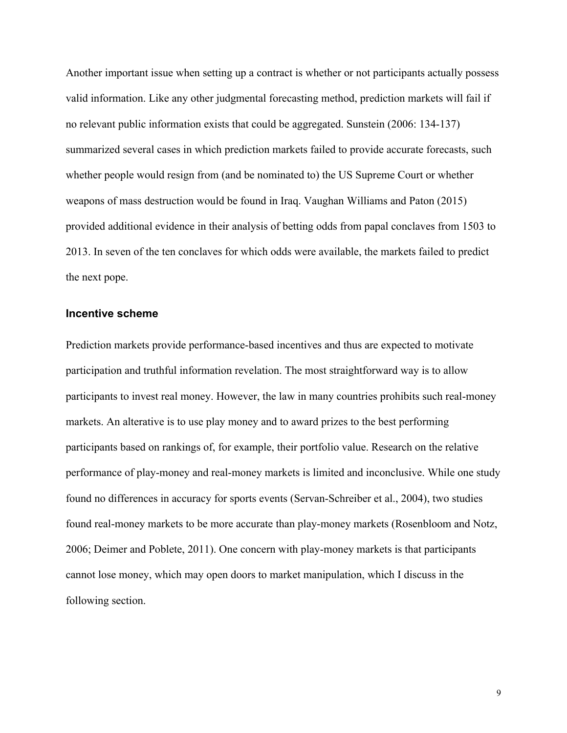Another important issue when setting up a contract is whether or not participants actually possess valid information. Like any other judgmental forecasting method, prediction markets will fail if no relevant public information exists that could be aggregated. Sunstein (2006: 134-137) summarized several cases in which prediction markets failed to provide accurate forecasts, such whether people would resign from (and be nominated to) the US Supreme Court or whether weapons of mass destruction would be found in Iraq. Vaughan Williams and Paton (2015) provided additional evidence in their analysis of betting odds from papal conclaves from 1503 to 2013. In seven of the ten conclaves for which odds were available, the markets failed to predict the next pope.

#### **Incentive scheme**

Prediction markets provide performance-based incentives and thus are expected to motivate participation and truthful information revelation. The most straightforward way is to allow participants to invest real money. However, the law in many countries prohibits such real-money markets. An alterative is to use play money and to award prizes to the best performing participants based on rankings of, for example, their portfolio value. Research on the relative performance of play-money and real-money markets is limited and inconclusive. While one study found no differences in accuracy for sports events (Servan-Schreiber et al., 2004), two studies found real-money markets to be more accurate than play-money markets (Rosenbloom and Notz, 2006; Deimer and Poblete, 2011). One concern with play-money markets is that participants cannot lose money, which may open doors to market manipulation, which I discuss in the following section.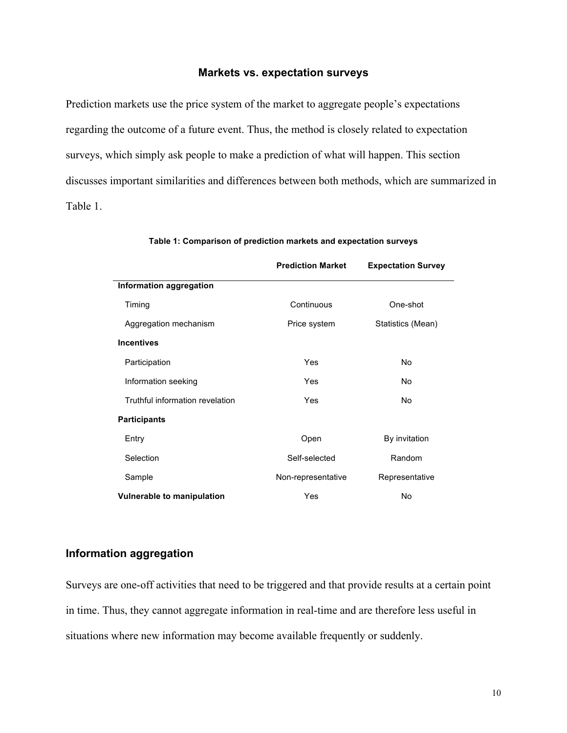## **Markets vs. expectation surveys**

Prediction markets use the price system of the market to aggregate people's expectations regarding the outcome of a future event. Thus, the method is closely related to expectation surveys, which simply ask people to make a prediction of what will happen. This section discusses important similarities and differences between both methods, which are summarized in Table 1.

|                                   | <b>Prediction Market</b> | <b>Expectation Survey</b> |
|-----------------------------------|--------------------------|---------------------------|
| Information aggregation           |                          |                           |
| Timing                            | Continuous<br>One-shot   |                           |
| Aggregation mechanism             | Price system             | Statistics (Mean)         |
| <b>Incentives</b>                 |                          |                           |
| Participation                     | Yes                      | No                        |
| Information seeking               | Yes                      | No                        |
| Truthful information revelation   | Yes                      | No                        |
| <b>Participants</b>               |                          |                           |
| Entry                             | Open                     | By invitation             |
| Selection                         | Self-selected            | Random                    |
| Sample                            | Non-representative       | Representative            |
| <b>Vulnerable to manipulation</b> | Yes                      | No                        |

## **Table 1: Comparison of prediction markets and expectation surveys**

# **Information aggregation**

Surveys are one-off activities that need to be triggered and that provide results at a certain point in time. Thus, they cannot aggregate information in real-time and are therefore less useful in situations where new information may become available frequently or suddenly.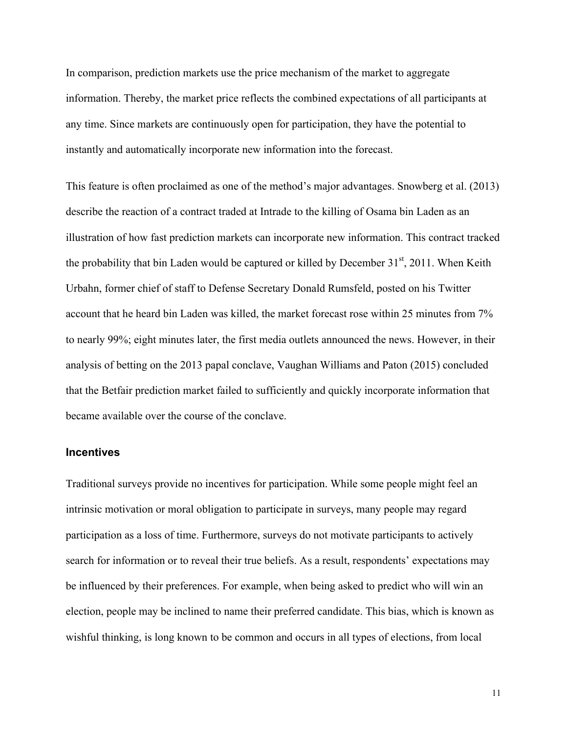In comparison, prediction markets use the price mechanism of the market to aggregate information. Thereby, the market price reflects the combined expectations of all participants at any time. Since markets are continuously open for participation, they have the potential to instantly and automatically incorporate new information into the forecast.

This feature is often proclaimed as one of the method's major advantages. Snowberg et al. (2013) describe the reaction of a contract traded at Intrade to the killing of Osama bin Laden as an illustration of how fast prediction markets can incorporate new information. This contract tracked the probability that bin Laden would be captured or killed by December  $31<sup>st</sup>$ , 2011. When Keith Urbahn, former chief of staff to Defense Secretary Donald Rumsfeld, posted on his Twitter account that he heard bin Laden was killed, the market forecast rose within 25 minutes from 7% to nearly 99%; eight minutes later, the first media outlets announced the news. However, in their analysis of betting on the 2013 papal conclave, Vaughan Williams and Paton (2015) concluded that the Betfair prediction market failed to sufficiently and quickly incorporate information that became available over the course of the conclave.

## **Incentives**

Traditional surveys provide no incentives for participation. While some people might feel an intrinsic motivation or moral obligation to participate in surveys, many people may regard participation as a loss of time. Furthermore, surveys do not motivate participants to actively search for information or to reveal their true beliefs. As a result, respondents' expectations may be influenced by their preferences. For example, when being asked to predict who will win an election, people may be inclined to name their preferred candidate. This bias, which is known as wishful thinking, is long known to be common and occurs in all types of elections, from local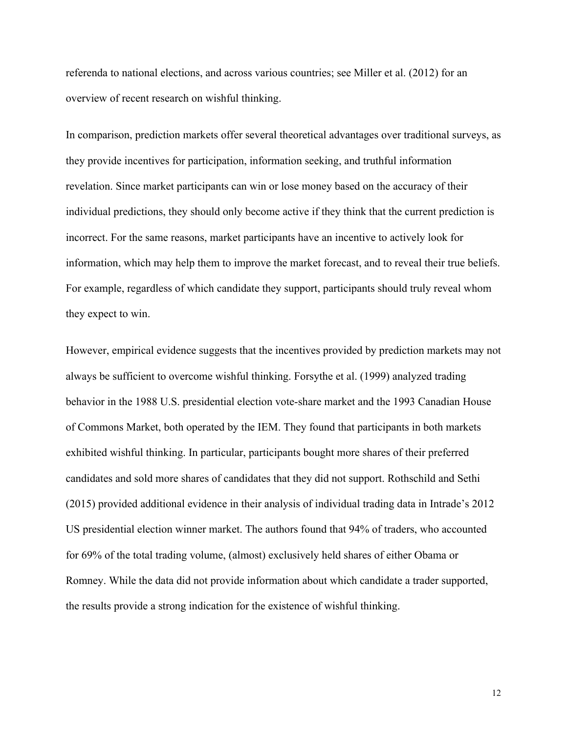referenda to national elections, and across various countries; see Miller et al. (2012) for an overview of recent research on wishful thinking.

In comparison, prediction markets offer several theoretical advantages over traditional surveys, as they provide incentives for participation, information seeking, and truthful information revelation. Since market participants can win or lose money based on the accuracy of their individual predictions, they should only become active if they think that the current prediction is incorrect. For the same reasons, market participants have an incentive to actively look for information, which may help them to improve the market forecast, and to reveal their true beliefs. For example, regardless of which candidate they support, participants should truly reveal whom they expect to win.

However, empirical evidence suggests that the incentives provided by prediction markets may not always be sufficient to overcome wishful thinking. Forsythe et al. (1999) analyzed trading behavior in the 1988 U.S. presidential election vote-share market and the 1993 Canadian House of Commons Market, both operated by the IEM. They found that participants in both markets exhibited wishful thinking. In particular, participants bought more shares of their preferred candidates and sold more shares of candidates that they did not support. Rothschild and Sethi (2015) provided additional evidence in their analysis of individual trading data in Intrade's 2012 US presidential election winner market. The authors found that 94% of traders, who accounted for 69% of the total trading volume, (almost) exclusively held shares of either Obama or Romney. While the data did not provide information about which candidate a trader supported, the results provide a strong indication for the existence of wishful thinking.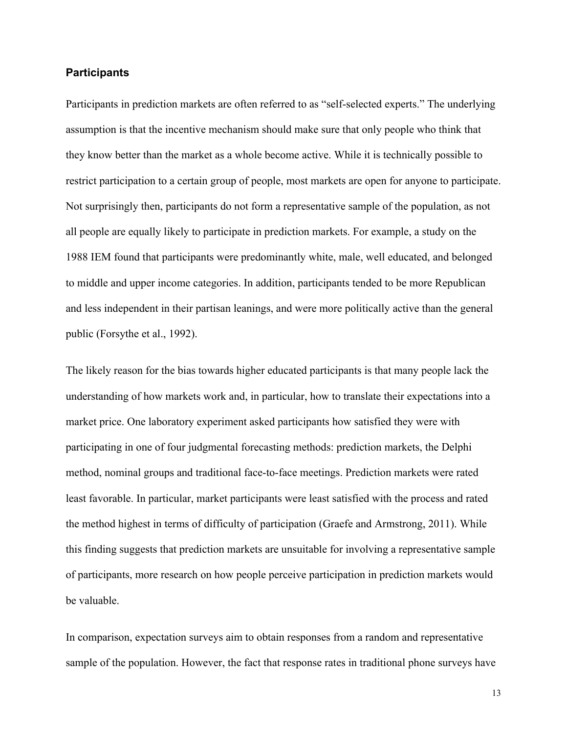## **Participants**

Participants in prediction markets are often referred to as "self-selected experts." The underlying assumption is that the incentive mechanism should make sure that only people who think that they know better than the market as a whole become active. While it is technically possible to restrict participation to a certain group of people, most markets are open for anyone to participate. Not surprisingly then, participants do not form a representative sample of the population, as not all people are equally likely to participate in prediction markets. For example, a study on the 1988 IEM found that participants were predominantly white, male, well educated, and belonged to middle and upper income categories. In addition, participants tended to be more Republican and less independent in their partisan leanings, and were more politically active than the general public (Forsythe et al., 1992).

The likely reason for the bias towards higher educated participants is that many people lack the understanding of how markets work and, in particular, how to translate their expectations into a market price. One laboratory experiment asked participants how satisfied they were with participating in one of four judgmental forecasting methods: prediction markets, the Delphi method, nominal groups and traditional face-to-face meetings. Prediction markets were rated least favorable. In particular, market participants were least satisfied with the process and rated the method highest in terms of difficulty of participation (Graefe and Armstrong, 2011). While this finding suggests that prediction markets are unsuitable for involving a representative sample of participants, more research on how people perceive participation in prediction markets would be valuable.

In comparison, expectation surveys aim to obtain responses from a random and representative sample of the population. However, the fact that response rates in traditional phone surveys have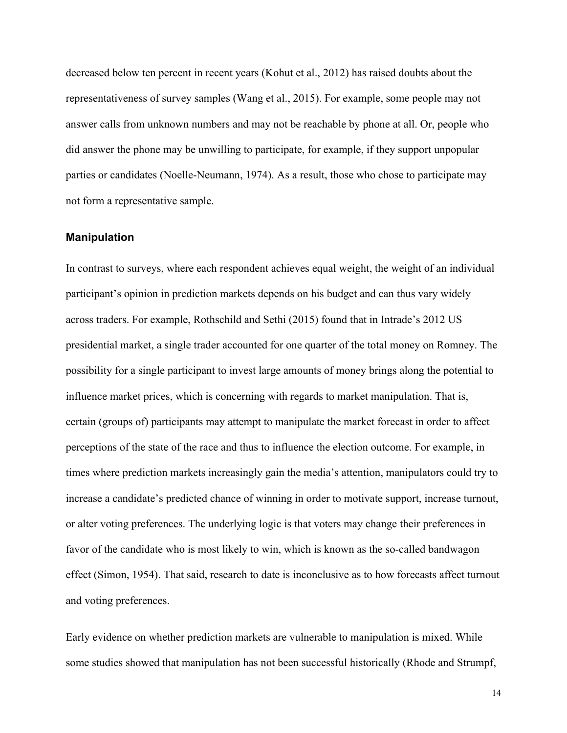decreased below ten percent in recent years (Kohut et al., 2012) has raised doubts about the representativeness of survey samples (Wang et al., 2015). For example, some people may not answer calls from unknown numbers and may not be reachable by phone at all. Or, people who did answer the phone may be unwilling to participate, for example, if they support unpopular parties or candidates (Noelle-Neumann, 1974). As a result, those who chose to participate may not form a representative sample.

#### **Manipulation**

In contrast to surveys, where each respondent achieves equal weight, the weight of an individual participant's opinion in prediction markets depends on his budget and can thus vary widely across traders. For example, Rothschild and Sethi (2015) found that in Intrade's 2012 US presidential market, a single trader accounted for one quarter of the total money on Romney. The possibility for a single participant to invest large amounts of money brings along the potential to influence market prices, which is concerning with regards to market manipulation. That is, certain (groups of) participants may attempt to manipulate the market forecast in order to affect perceptions of the state of the race and thus to influence the election outcome. For example, in times where prediction markets increasingly gain the media's attention, manipulators could try to increase a candidate's predicted chance of winning in order to motivate support, increase turnout, or alter voting preferences. The underlying logic is that voters may change their preferences in favor of the candidate who is most likely to win, which is known as the so-called bandwagon effect (Simon, 1954). That said, research to date is inconclusive as to how forecasts affect turnout and voting preferences.

Early evidence on whether prediction markets are vulnerable to manipulation is mixed. While some studies showed that manipulation has not been successful historically (Rhode and Strumpf,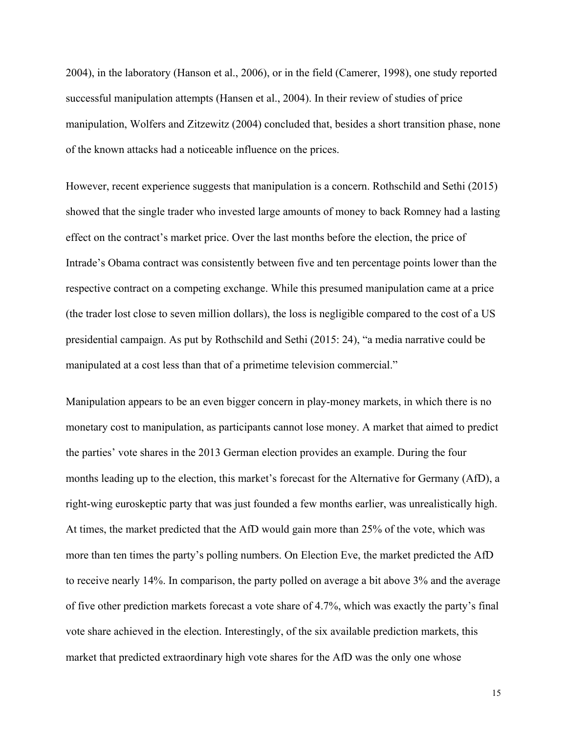2004), in the laboratory (Hanson et al., 2006), or in the field (Camerer, 1998), one study reported successful manipulation attempts (Hansen et al., 2004). In their review of studies of price manipulation, Wolfers and Zitzewitz (2004) concluded that, besides a short transition phase, none of the known attacks had a noticeable influence on the prices.

However, recent experience suggests that manipulation is a concern. Rothschild and Sethi (2015) showed that the single trader who invested large amounts of money to back Romney had a lasting effect on the contract's market price. Over the last months before the election, the price of Intrade's Obama contract was consistently between five and ten percentage points lower than the respective contract on a competing exchange. While this presumed manipulation came at a price (the trader lost close to seven million dollars), the loss is negligible compared to the cost of a US presidential campaign. As put by Rothschild and Sethi (2015: 24), "a media narrative could be manipulated at a cost less than that of a primetime television commercial."

Manipulation appears to be an even bigger concern in play-money markets, in which there is no monetary cost to manipulation, as participants cannot lose money. A market that aimed to predict the parties' vote shares in the 2013 German election provides an example. During the four months leading up to the election, this market's forecast for the Alternative for Germany (AfD), a right-wing euroskeptic party that was just founded a few months earlier, was unrealistically high. At times, the market predicted that the AfD would gain more than 25% of the vote, which was more than ten times the party's polling numbers. On Election Eve, the market predicted the AfD to receive nearly 14%. In comparison, the party polled on average a bit above 3% and the average of five other prediction markets forecast a vote share of 4.7%, which was exactly the party's final vote share achieved in the election. Interestingly, of the six available prediction markets, this market that predicted extraordinary high vote shares for the AfD was the only one whose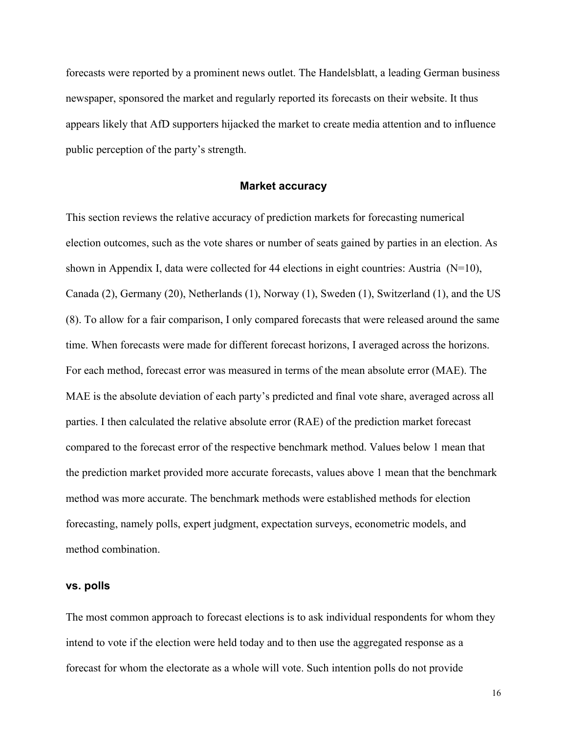forecasts were reported by a prominent news outlet. The Handelsblatt, a leading German business newspaper, sponsored the market and regularly reported its forecasts on their website. It thus appears likely that AfD supporters hijacked the market to create media attention and to influence public perception of the party's strength.

### **Market accuracy**

This section reviews the relative accuracy of prediction markets for forecasting numerical election outcomes, such as the vote shares or number of seats gained by parties in an election. As shown in Appendix I, data were collected for 44 elections in eight countries: Austria  $(N=10)$ , Canada (2), Germany (20), Netherlands (1), Norway (1), Sweden (1), Switzerland (1), and the US (8). To allow for a fair comparison, I only compared forecasts that were released around the same time. When forecasts were made for different forecast horizons, I averaged across the horizons. For each method, forecast error was measured in terms of the mean absolute error (MAE). The MAE is the absolute deviation of each party's predicted and final vote share, averaged across all parties. I then calculated the relative absolute error (RAE) of the prediction market forecast compared to the forecast error of the respective benchmark method. Values below 1 mean that the prediction market provided more accurate forecasts, values above 1 mean that the benchmark method was more accurate. The benchmark methods were established methods for election forecasting, namely polls, expert judgment, expectation surveys, econometric models, and method combination.

### **vs. polls**

The most common approach to forecast elections is to ask individual respondents for whom they intend to vote if the election were held today and to then use the aggregated response as a forecast for whom the electorate as a whole will vote. Such intention polls do not provide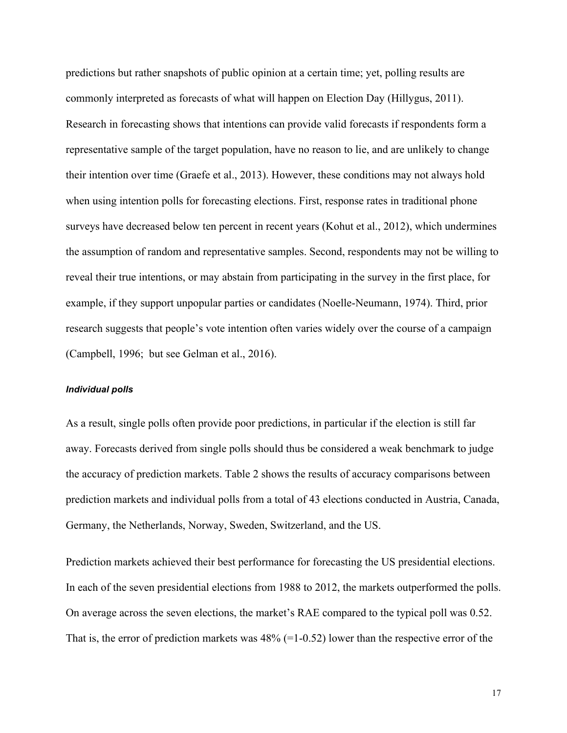predictions but rather snapshots of public opinion at a certain time; yet, polling results are commonly interpreted as forecasts of what will happen on Election Day (Hillygus, 2011). Research in forecasting shows that intentions can provide valid forecasts if respondents form a representative sample of the target population, have no reason to lie, and are unlikely to change their intention over time (Graefe et al., 2013). However, these conditions may not always hold when using intention polls for forecasting elections. First, response rates in traditional phone surveys have decreased below ten percent in recent years (Kohut et al., 2012), which undermines the assumption of random and representative samples. Second, respondents may not be willing to reveal their true intentions, or may abstain from participating in the survey in the first place, for example, if they support unpopular parties or candidates (Noelle-Neumann, 1974). Third, prior research suggests that people's vote intention often varies widely over the course of a campaign (Campbell, 1996; but see Gelman et al., 2016).

#### *Individual polls*

As a result, single polls often provide poor predictions, in particular if the election is still far away. Forecasts derived from single polls should thus be considered a weak benchmark to judge the accuracy of prediction markets. Table 2 shows the results of accuracy comparisons between prediction markets and individual polls from a total of 43 elections conducted in Austria, Canada, Germany, the Netherlands, Norway, Sweden, Switzerland, and the US.

Prediction markets achieved their best performance for forecasting the US presidential elections. In each of the seven presidential elections from 1988 to 2012, the markets outperformed the polls. On average across the seven elections, the market's RAE compared to the typical poll was 0.52. That is, the error of prediction markets was  $48\%$  (=1-0.52) lower than the respective error of the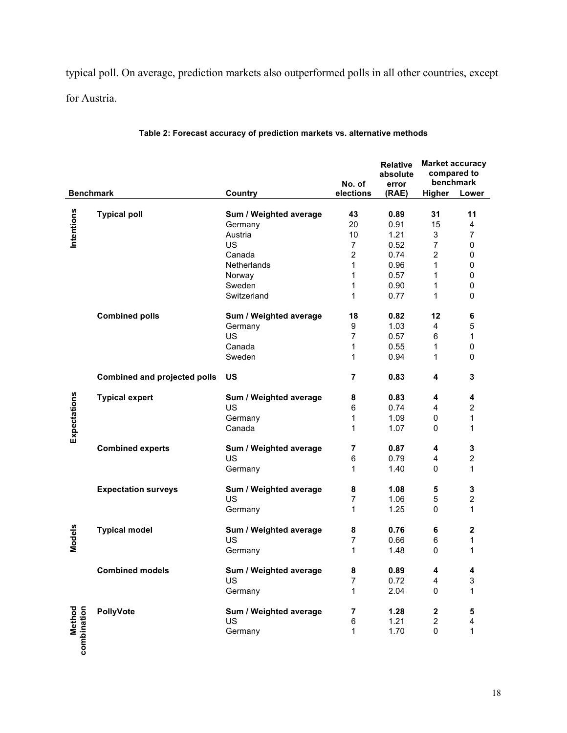typical poll. On average, prediction markets also outperformed polls in all other countries, except for Austria.

|                              |                                     |                        | No. of                   | <b>Relative</b><br>absolute<br>error | <b>Market accuracy</b><br>compared to | benchmark        |
|------------------------------|-------------------------------------|------------------------|--------------------------|--------------------------------------|---------------------------------------|------------------|
| <b>Benchmark</b>             |                                     | Country                | elections                | (RAE)                                | Higher                                | Lower            |
|                              |                                     |                        |                          |                                      |                                       |                  |
| Intentions                   | <b>Typical poll</b>                 | Sum / Weighted average | 43                       | 0.89                                 | 31                                    | 11               |
|                              |                                     | Germany                | 20                       | 0.91                                 | 15                                    | $\overline{4}$   |
|                              |                                     | Austria                | 10                       | 1.21                                 | 3                                     | $\overline{7}$   |
|                              |                                     | US                     | $\overline{7}$           | 0.52                                 | $\overline{7}$                        | $\mathbf 0$      |
|                              |                                     | Canada                 | 2                        | 0.74                                 | 2                                     | 0                |
|                              |                                     | Netherlands            | $\mathbf{1}$             | 0.96                                 | $\mathbf{1}$                          | 0                |
|                              |                                     | Norway                 | 1                        | 0.57                                 | $\mathbf{1}$                          | $\mathbf 0$      |
|                              |                                     | Sweden                 | 1                        | 0.90                                 | 1                                     | 0                |
|                              |                                     | Switzerland            | 1                        | 0.77                                 | 1                                     | $\mathbf 0$      |
|                              | <b>Combined polls</b>               | Sum / Weighted average | 18                       | 0.82                                 | 12                                    | 6                |
|                              |                                     | Germany                | 9                        | 1.03                                 | 4                                     | 5                |
|                              |                                     | US                     | $\overline{7}$           | 0.57                                 | 6                                     | 1                |
|                              |                                     | Canada                 | 1                        | 0.55                                 | 1                                     | 0                |
|                              |                                     | Sweden                 | 1                        | 0.94                                 | 1                                     | $\mathbf 0$      |
|                              | <b>Combined and projected polls</b> | US                     | 7                        | 0.83                                 | 4                                     | 3                |
|                              | <b>Typical expert</b>               | Sum / Weighted average | 8                        | 0.83                                 | 4                                     | 4                |
|                              |                                     | US                     | 6                        | 0.74                                 | 4                                     | $\boldsymbol{2}$ |
|                              |                                     | Germany                | 1                        | 1.09                                 | 0                                     | 1                |
| Expectations                 |                                     | Canada                 | 1                        | 1.07                                 | 0                                     | 1                |
|                              | <b>Combined experts</b>             | Sum / Weighted average | 7                        | 0.87                                 | 4                                     | 3                |
|                              |                                     | <b>US</b>              | 6                        | 0.79                                 | 4                                     | $\overline{c}$   |
|                              |                                     | Germany                | 1                        | 1.40                                 | 0                                     | 1                |
|                              | <b>Expectation surveys</b>          | Sum / Weighted average | 8                        | 1.08                                 | 5                                     | 3                |
|                              |                                     | <b>US</b>              | $\overline{7}$           | 1.06                                 | 5                                     | $\overline{c}$   |
|                              |                                     | Germany                | 1                        | 1.25                                 | 0                                     | 1                |
|                              | <b>Typical model</b>                | Sum / Weighted average | 8                        | 0.76                                 | 6                                     | 2                |
|                              |                                     | US                     | $\overline{7}$           | 0.66                                 | 6                                     | 1                |
| Models                       |                                     | Germany                | 1                        | 1.48                                 | 0                                     | 1                |
|                              | <b>Combined models</b>              | Sum / Weighted average | 8                        | 0.89                                 | 4                                     | 4                |
|                              |                                     | US                     | $\overline{\mathcal{I}}$ | 0.72                                 | 4                                     | 3                |
|                              |                                     | Germany                | 1                        | 2.04                                 | 0                                     | 1                |
|                              |                                     |                        |                          |                                      |                                       |                  |
|                              | PollyVote                           | Sum / Weighted average | 7                        | 1.28                                 | 2                                     | 5                |
|                              |                                     | US<br>Germany          | 6<br>1                   | 1.21<br>1.70                         | $\overline{c}$<br>$\mathbf 0$         | 4<br>1           |
| <b>Method</b><br>combination |                                     |                        |                          |                                      |                                       |                  |

# **Table 2: Forecast accuracy of prediction markets vs. alternative methods**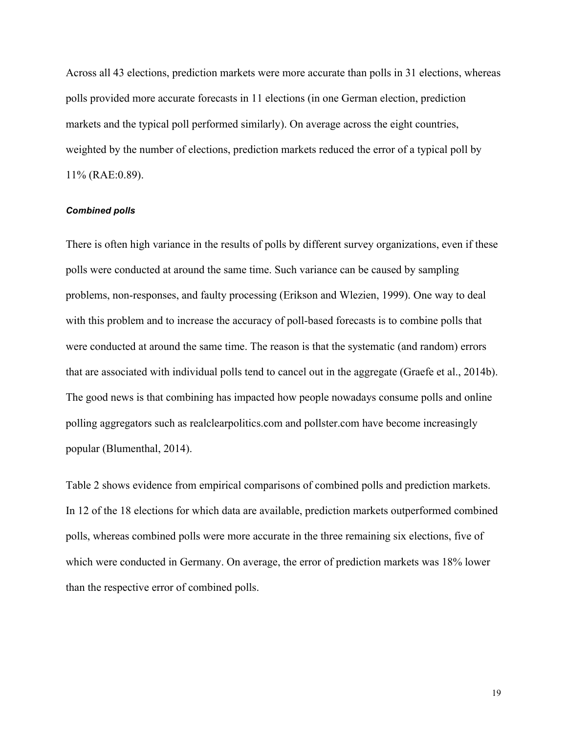Across all 43 elections, prediction markets were more accurate than polls in 31 elections, whereas polls provided more accurate forecasts in 11 elections (in one German election, prediction markets and the typical poll performed similarly). On average across the eight countries, weighted by the number of elections, prediction markets reduced the error of a typical poll by 11% (RAE:0.89).

### *Combined polls*

There is often high variance in the results of polls by different survey organizations, even if these polls were conducted at around the same time. Such variance can be caused by sampling problems, non-responses, and faulty processing (Erikson and Wlezien, 1999). One way to deal with this problem and to increase the accuracy of poll-based forecasts is to combine polls that were conducted at around the same time. The reason is that the systematic (and random) errors that are associated with individual polls tend to cancel out in the aggregate (Graefe et al., 2014b). The good news is that combining has impacted how people nowadays consume polls and online polling aggregators such as realclearpolitics.com and pollster.com have become increasingly popular (Blumenthal, 2014).

Table 2 shows evidence from empirical comparisons of combined polls and prediction markets. In 12 of the 18 elections for which data are available, prediction markets outperformed combined polls, whereas combined polls were more accurate in the three remaining six elections, five of which were conducted in Germany. On average, the error of prediction markets was 18% lower than the respective error of combined polls.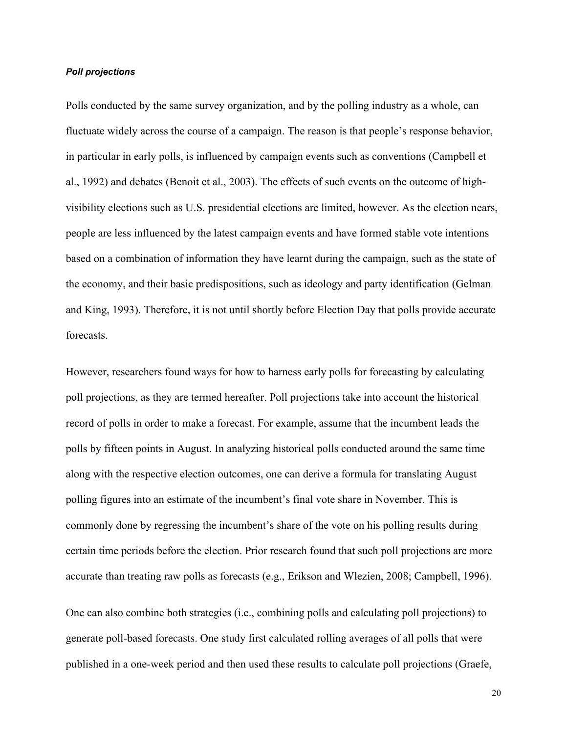## *Poll projections*

Polls conducted by the same survey organization, and by the polling industry as a whole, can fluctuate widely across the course of a campaign. The reason is that people's response behavior, in particular in early polls, is influenced by campaign events such as conventions (Campbell et al., 1992) and debates (Benoit et al., 2003). The effects of such events on the outcome of highvisibility elections such as U.S. presidential elections are limited, however. As the election nears, people are less influenced by the latest campaign events and have formed stable vote intentions based on a combination of information they have learnt during the campaign, such as the state of the economy, and their basic predispositions, such as ideology and party identification (Gelman and King, 1993). Therefore, it is not until shortly before Election Day that polls provide accurate forecasts.

However, researchers found ways for how to harness early polls for forecasting by calculating poll projections, as they are termed hereafter. Poll projections take into account the historical record of polls in order to make a forecast. For example, assume that the incumbent leads the polls by fifteen points in August. In analyzing historical polls conducted around the same time along with the respective election outcomes, one can derive a formula for translating August polling figures into an estimate of the incumbent's final vote share in November. This is commonly done by regressing the incumbent's share of the vote on his polling results during certain time periods before the election. Prior research found that such poll projections are more accurate than treating raw polls as forecasts (e.g., Erikson and Wlezien, 2008; Campbell, 1996).

One can also combine both strategies (i.e., combining polls and calculating poll projections) to generate poll-based forecasts. One study first calculated rolling averages of all polls that were published in a one-week period and then used these results to calculate poll projections (Graefe,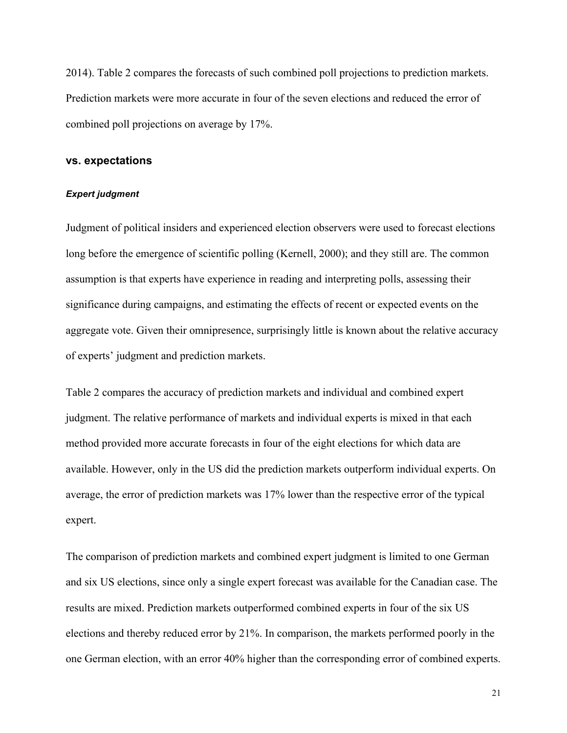2014). Table 2 compares the forecasts of such combined poll projections to prediction markets. Prediction markets were more accurate in four of the seven elections and reduced the error of combined poll projections on average by 17%.

### **vs. expectations**

### *Expert judgment*

Judgment of political insiders and experienced election observers were used to forecast elections long before the emergence of scientific polling (Kernell, 2000); and they still are. The common assumption is that experts have experience in reading and interpreting polls, assessing their significance during campaigns, and estimating the effects of recent or expected events on the aggregate vote. Given their omnipresence, surprisingly little is known about the relative accuracy of experts' judgment and prediction markets.

Table 2 compares the accuracy of prediction markets and individual and combined expert judgment. The relative performance of markets and individual experts is mixed in that each method provided more accurate forecasts in four of the eight elections for which data are available. However, only in the US did the prediction markets outperform individual experts. On average, the error of prediction markets was 17% lower than the respective error of the typical expert.

The comparison of prediction markets and combined expert judgment is limited to one German and six US elections, since only a single expert forecast was available for the Canadian case. The results are mixed. Prediction markets outperformed combined experts in four of the six US elections and thereby reduced error by 21%. In comparison, the markets performed poorly in the one German election, with an error 40% higher than the corresponding error of combined experts.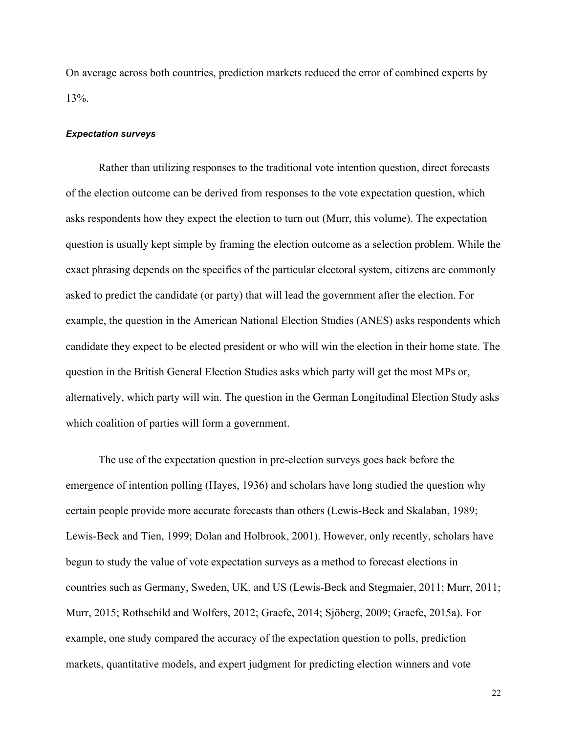On average across both countries, prediction markets reduced the error of combined experts by 13%.

#### *Expectation surveys*

Rather than utilizing responses to the traditional vote intention question, direct forecasts of the election outcome can be derived from responses to the vote expectation question, which asks respondents how they expect the election to turn out (Murr, this volume). The expectation question is usually kept simple by framing the election outcome as a selection problem. While the exact phrasing depends on the specifics of the particular electoral system, citizens are commonly asked to predict the candidate (or party) that will lead the government after the election. For example, the question in the American National Election Studies (ANES) asks respondents which candidate they expect to be elected president or who will win the election in their home state. The question in the British General Election Studies asks which party will get the most MPs or, alternatively, which party will win. The question in the German Longitudinal Election Study asks which coalition of parties will form a government.

The use of the expectation question in pre-election surveys goes back before the emergence of intention polling (Hayes, 1936) and scholars have long studied the question why certain people provide more accurate forecasts than others (Lewis-Beck and Skalaban, 1989; Lewis-Beck and Tien, 1999; Dolan and Holbrook, 2001). However, only recently, scholars have begun to study the value of vote expectation surveys as a method to forecast elections in countries such as Germany, Sweden, UK, and US (Lewis-Beck and Stegmaier, 2011; Murr, 2011; Murr, 2015; Rothschild and Wolfers, 2012; Graefe, 2014; Sjöberg, 2009; Graefe, 2015a). For example, one study compared the accuracy of the expectation question to polls, prediction markets, quantitative models, and expert judgment for predicting election winners and vote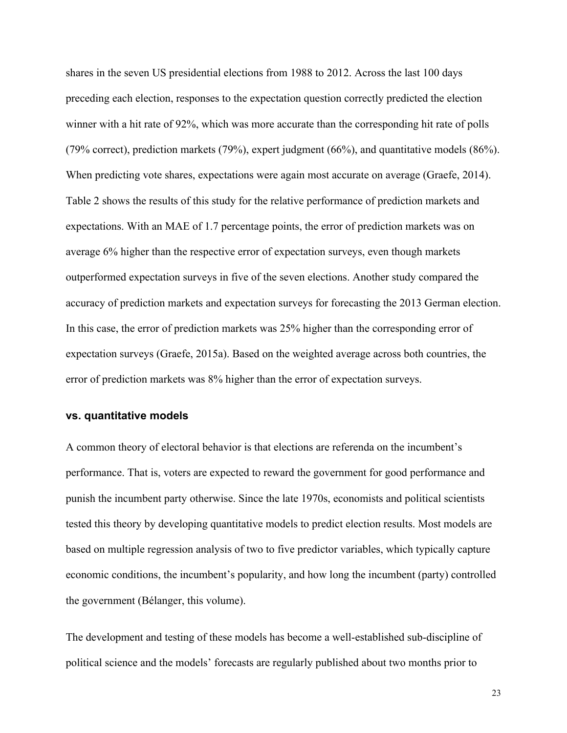shares in the seven US presidential elections from 1988 to 2012. Across the last 100 days preceding each election, responses to the expectation question correctly predicted the election winner with a hit rate of 92%, which was more accurate than the corresponding hit rate of polls (79% correct), prediction markets (79%), expert judgment (66%), and quantitative models (86%). When predicting vote shares, expectations were again most accurate on average (Graefe, 2014). Table 2 shows the results of this study for the relative performance of prediction markets and expectations. With an MAE of 1.7 percentage points, the error of prediction markets was on average 6% higher than the respective error of expectation surveys, even though markets outperformed expectation surveys in five of the seven elections. Another study compared the accuracy of prediction markets and expectation surveys for forecasting the 2013 German election. In this case, the error of prediction markets was 25% higher than the corresponding error of expectation surveys (Graefe, 2015a). Based on the weighted average across both countries, the error of prediction markets was 8% higher than the error of expectation surveys.

## **vs. quantitative models**

A common theory of electoral behavior is that elections are referenda on the incumbent's performance. That is, voters are expected to reward the government for good performance and punish the incumbent party otherwise. Since the late 1970s, economists and political scientists tested this theory by developing quantitative models to predict election results. Most models are based on multiple regression analysis of two to five predictor variables, which typically capture economic conditions, the incumbent's popularity, and how long the incumbent (party) controlled the government (Bélanger, this volume).

The development and testing of these models has become a well-established sub-discipline of political science and the models' forecasts are regularly published about two months prior to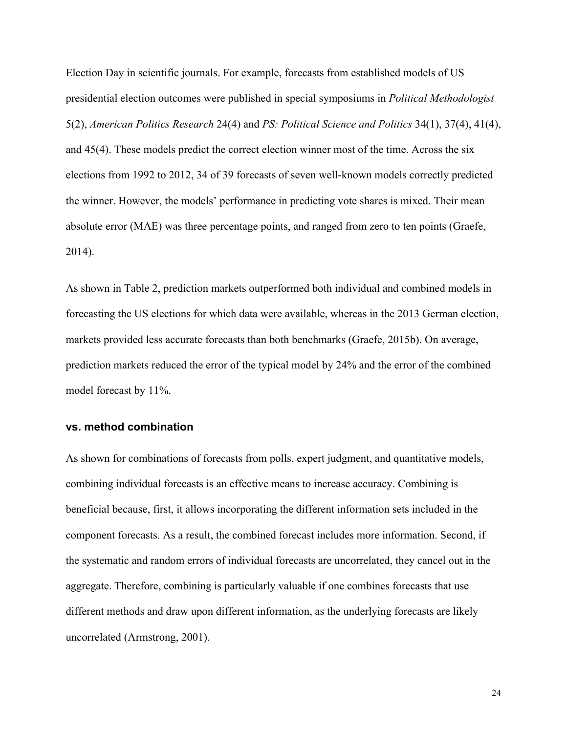Election Day in scientific journals. For example, forecasts from established models of US presidential election outcomes were published in special symposiums in *Political Methodologist* 5(2), *American Politics Research* 24(4) and *PS: Political Science and Politics* 34(1), 37(4), 41(4), and 45(4). These models predict the correct election winner most of the time. Across the six elections from 1992 to 2012, 34 of 39 forecasts of seven well-known models correctly predicted the winner. However, the models' performance in predicting vote shares is mixed. Their mean absolute error (MAE) was three percentage points, and ranged from zero to ten points (Graefe, 2014).

As shown in Table 2, prediction markets outperformed both individual and combined models in forecasting the US elections for which data were available, whereas in the 2013 German election, markets provided less accurate forecasts than both benchmarks (Graefe, 2015b). On average, prediction markets reduced the error of the typical model by 24% and the error of the combined model forecast by 11%.

# **vs. method combination**

As shown for combinations of forecasts from polls, expert judgment, and quantitative models, combining individual forecasts is an effective means to increase accuracy. Combining is beneficial because, first, it allows incorporating the different information sets included in the component forecasts. As a result, the combined forecast includes more information. Second, if the systematic and random errors of individual forecasts are uncorrelated, they cancel out in the aggregate. Therefore, combining is particularly valuable if one combines forecasts that use different methods and draw upon different information, as the underlying forecasts are likely uncorrelated (Armstrong, 2001).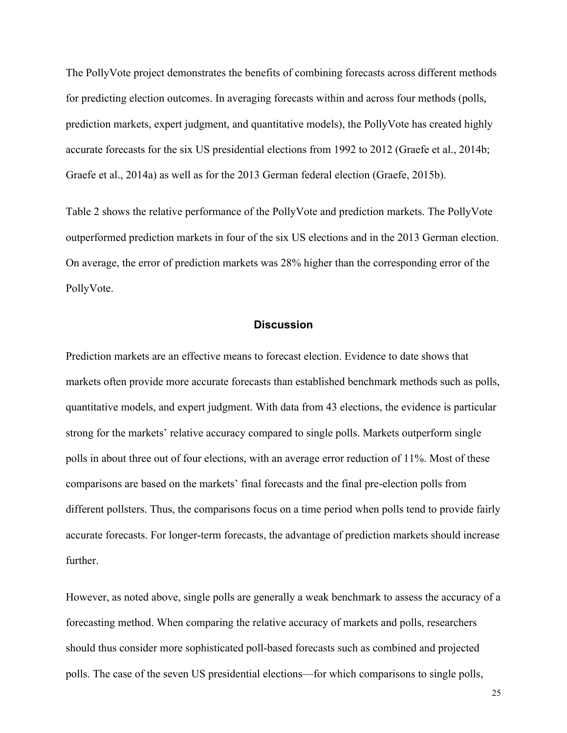The PollyVote project demonstrates the benefits of combining forecasts across different methods for predicting election outcomes. In averaging forecasts within and across four methods (polls, prediction markets, expert judgment, and quantitative models), the PollyVote has created highly accurate forecasts for the six US presidential elections from 1992 to 2012 (Graefe et al., 2014b; Graefe et al., 2014a) as well as for the 2013 German federal election (Graefe, 2015b).

Table 2 shows the relative performance of the PollyVote and prediction markets. The PollyVote outperformed prediction markets in four of the six US elections and in the 2013 German election. On average, the error of prediction markets was 28% higher than the corresponding error of the PollyVote.

### **Discussion**

Prediction markets are an effective means to forecast election. Evidence to date shows that markets often provide more accurate forecasts than established benchmark methods such as polls, quantitative models, and expert judgment. With data from 43 elections, the evidence is particular strong for the markets' relative accuracy compared to single polls. Markets outperform single polls in about three out of four elections, with an average error reduction of 11%. Most of these comparisons are based on the markets' final forecasts and the final pre-election polls from different pollsters. Thus, the comparisons focus on a time period when polls tend to provide fairly accurate forecasts. For longer-term forecasts, the advantage of prediction markets should increase further.

However, as noted above, single polls are generally a weak benchmark to assess the accuracy of a forecasting method. When comparing the relative accuracy of markets and polls, researchers should thus consider more sophisticated poll-based forecasts such as combined and projected polls. The case of the seven US presidential elections—for which comparisons to single polls,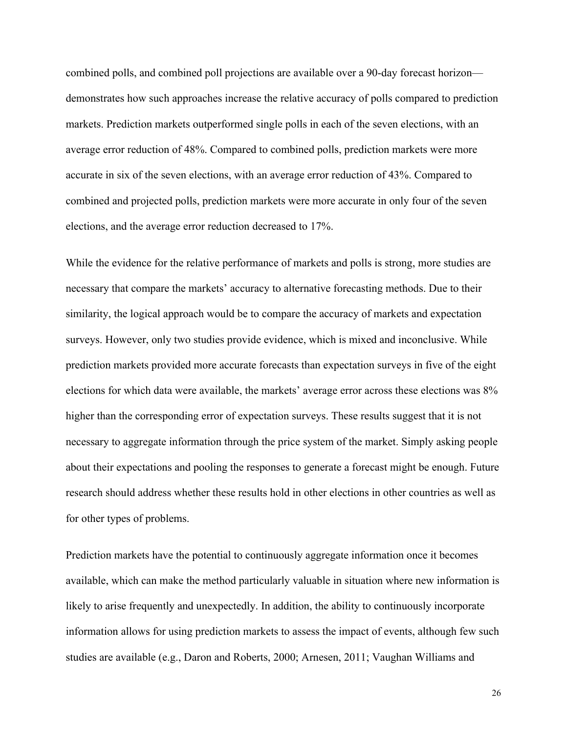combined polls, and combined poll projections are available over a 90-day forecast horizon demonstrates how such approaches increase the relative accuracy of polls compared to prediction markets. Prediction markets outperformed single polls in each of the seven elections, with an average error reduction of 48%. Compared to combined polls, prediction markets were more accurate in six of the seven elections, with an average error reduction of 43%. Compared to combined and projected polls, prediction markets were more accurate in only four of the seven elections, and the average error reduction decreased to 17%.

While the evidence for the relative performance of markets and polls is strong, more studies are necessary that compare the markets' accuracy to alternative forecasting methods. Due to their similarity, the logical approach would be to compare the accuracy of markets and expectation surveys. However, only two studies provide evidence, which is mixed and inconclusive. While prediction markets provided more accurate forecasts than expectation surveys in five of the eight elections for which data were available, the markets' average error across these elections was 8% higher than the corresponding error of expectation surveys. These results suggest that it is not necessary to aggregate information through the price system of the market. Simply asking people about their expectations and pooling the responses to generate a forecast might be enough. Future research should address whether these results hold in other elections in other countries as well as for other types of problems.

Prediction markets have the potential to continuously aggregate information once it becomes available, which can make the method particularly valuable in situation where new information is likely to arise frequently and unexpectedly. In addition, the ability to continuously incorporate information allows for using prediction markets to assess the impact of events, although few such studies are available (e.g., Daron and Roberts, 2000; Arnesen, 2011; Vaughan Williams and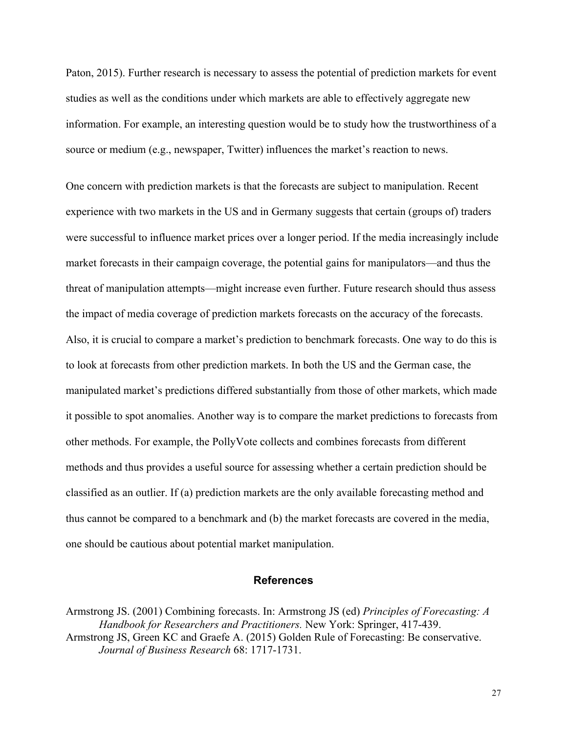Paton, 2015). Further research is necessary to assess the potential of prediction markets for event studies as well as the conditions under which markets are able to effectively aggregate new information. For example, an interesting question would be to study how the trustworthiness of a source or medium (e.g., newspaper, Twitter) influences the market's reaction to news.

One concern with prediction markets is that the forecasts are subject to manipulation. Recent experience with two markets in the US and in Germany suggests that certain (groups of) traders were successful to influence market prices over a longer period. If the media increasingly include market forecasts in their campaign coverage, the potential gains for manipulators—and thus the threat of manipulation attempts—might increase even further. Future research should thus assess the impact of media coverage of prediction markets forecasts on the accuracy of the forecasts. Also, it is crucial to compare a market's prediction to benchmark forecasts. One way to do this is to look at forecasts from other prediction markets. In both the US and the German case, the manipulated market's predictions differed substantially from those of other markets, which made it possible to spot anomalies. Another way is to compare the market predictions to forecasts from other methods. For example, the PollyVote collects and combines forecasts from different methods and thus provides a useful source for assessing whether a certain prediction should be classified as an outlier. If (a) prediction markets are the only available forecasting method and thus cannot be compared to a benchmark and (b) the market forecasts are covered in the media, one should be cautious about potential market manipulation.

## **References**

Armstrong JS. (2001) Combining forecasts. In: Armstrong JS (ed) *Principles of Forecasting: A Handbook for Researchers and Practitioners.* New York: Springer, 417-439. Armstrong JS, Green KC and Graefe A. (2015) Golden Rule of Forecasting: Be conservative. *Journal of Business Research* 68: 1717-1731.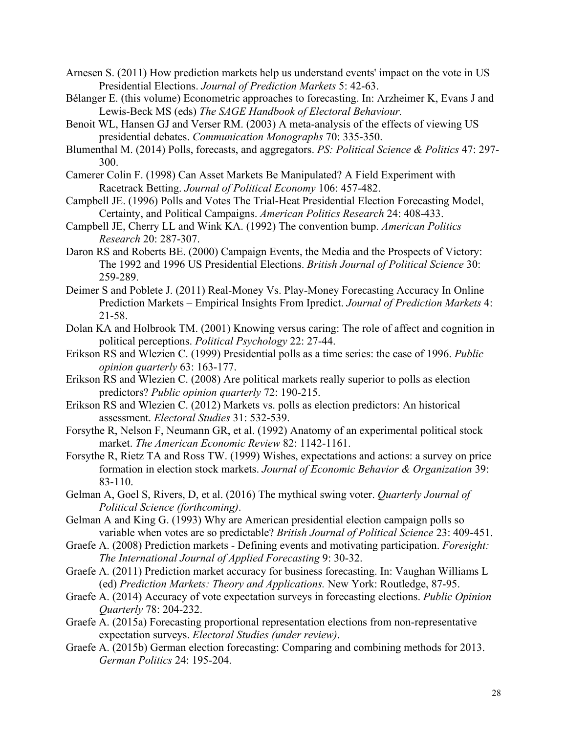Arnesen S. (2011) How prediction markets help us understand events' impact on the vote in US Presidential Elections. *Journal of Prediction Markets* 5: 42-63.

- Bélanger E. (this volume) Econometric approaches to forecasting. In: Arzheimer K, Evans J and Lewis-Beck MS (eds) *The SAGE Handbook of Electoral Behaviour.*
- Benoit WL, Hansen GJ and Verser RM. (2003) A meta-analysis of the effects of viewing US presidential debates. *Communication Monographs* 70: 335-350.
- Blumenthal M. (2014) Polls, forecasts, and aggregators. *PS: Political Science & Politics* 47: 297- 300.
- Camerer Colin F. (1998) Can Asset Markets Be Manipulated? A Field Experiment with Racetrack Betting. *Journal of Political Economy* 106: 457-482.
- Campbell JE. (1996) Polls and Votes The Trial-Heat Presidential Election Forecasting Model, Certainty, and Political Campaigns. *American Politics Research* 24: 408-433.
- Campbell JE, Cherry LL and Wink KA. (1992) The convention bump. *American Politics Research* 20: 287-307.
- Daron RS and Roberts BE. (2000) Campaign Events, the Media and the Prospects of Victory: The 1992 and 1996 US Presidential Elections. *British Journal of Political Science* 30: 259-289.
- Deimer S and Poblete J. (2011) Real-Money Vs. Play-Money Forecasting Accuracy In Online Prediction Markets – Empirical Insights From Ipredict. *Journal of Prediction Markets* 4: 21-58.
- Dolan KA and Holbrook TM. (2001) Knowing versus caring: The role of affect and cognition in political perceptions. *Political Psychology* 22: 27-44.
- Erikson RS and Wlezien C. (1999) Presidential polls as a time series: the case of 1996. *Public opinion quarterly* 63: 163-177.
- Erikson RS and Wlezien C. (2008) Are political markets really superior to polls as election predictors? *Public opinion quarterly* 72: 190-215.
- Erikson RS and Wlezien C. (2012) Markets vs. polls as election predictors: An historical assessment. *Electoral Studies* 31: 532-539.
- Forsythe R, Nelson F, Neumann GR, et al. (1992) Anatomy of an experimental political stock market. *The American Economic Review* 82: 1142-1161.
- Forsythe R, Rietz TA and Ross TW. (1999) Wishes, expectations and actions: a survey on price formation in election stock markets. *Journal of Economic Behavior & Organization* 39: 83-110.
- Gelman A, Goel S, Rivers, D, et al. (2016) The mythical swing voter. *Quarterly Journal of Political Science (forthcoming)*.
- Gelman A and King G. (1993) Why are American presidential election campaign polls so variable when votes are so predictable? *British Journal of Political Science* 23: 409-451.
- Graefe A. (2008) Prediction markets Defining events and motivating participation. *Foresight: The International Journal of Applied Forecasting* 9: 30-32.
- Graefe A. (2011) Prediction market accuracy for business forecasting. In: Vaughan Williams L (ed) *Prediction Markets: Theory and Applications.* New York: Routledge, 87-95.
- Graefe A. (2014) Accuracy of vote expectation surveys in forecasting elections. *Public Opinion Quarterly* 78: 204-232.
- Graefe A. (2015a) Forecasting proportional representation elections from non-representative expectation surveys. *Electoral Studies (under review)*.
- Graefe A. (2015b) German election forecasting: Comparing and combining methods for 2013. *German Politics* 24: 195-204.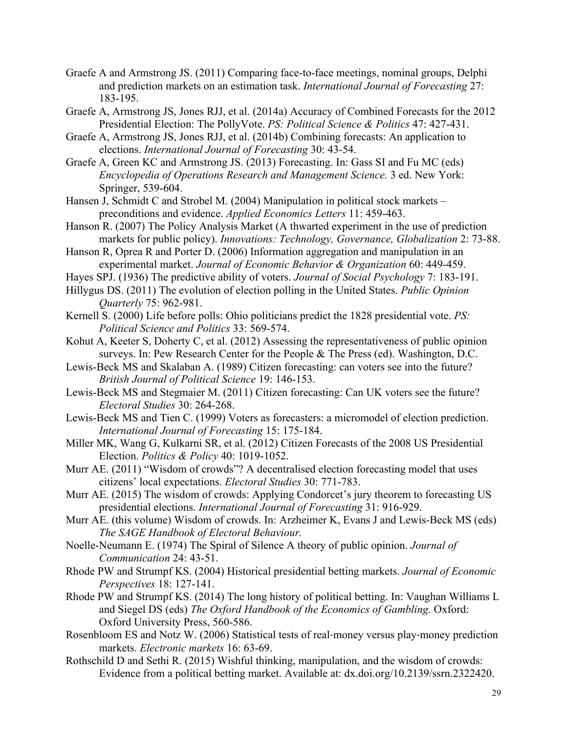- Graefe A and Armstrong JS. (2011) Comparing face-to-face meetings, nominal groups, Delphi and prediction markets on an estimation task. *International Journal of Forecasting* 27: 183-195.
- Graefe A, Armstrong JS, Jones RJJ, et al. (2014a) Accuracy of Combined Forecasts for the 2012 Presidential Election: The PollyVote. *PS: Political Science & Politics* 47: 427-431.
- Graefe A, Armstrong JS, Jones RJJ, et al. (2014b) Combining forecasts: An application to elections. *International Journal of Forecasting* 30: 43-54.
- Graefe A, Green KC and Armstrong JS. (2013) Forecasting. In: Gass SI and Fu MC (eds) *Encyclopedia of Operations Research and Management Science.* 3 ed. New York: Springer, 539-604.
- Hansen J, Schmidt C and Strobel M. (2004) Manipulation in political stock markets preconditions and evidence. *Applied Economics Letters* 11: 459-463.
- Hanson R. (2007) The Policy Analysis Market (A thwarted experiment in the use of prediction markets for public policy). *Innovations: Technology, Governance, Globalization* 2: 73-88.
- Hanson R, Oprea R and Porter D. (2006) Information aggregation and manipulation in an experimental market. *Journal of Economic Behavior & Organization* 60: 449-459.
- Hayes SPJ. (1936) The predictive ability of voters. *Journal of Social Psychology* 7: 183-191.
- Hillygus DS. (2011) The evolution of election polling in the United States. *Public Opinion Quarterly* 75: 962-981.
- Kernell S. (2000) Life before polls: Ohio politicians predict the 1828 presidential vote. *PS: Political Science and Politics* 33: 569-574.
- Kohut A, Keeter S, Doherty C, et al. (2012) Assessing the representativeness of public opinion surveys. In: Pew Research Center for the People & The Press (ed). Washington, D.C.
- Lewis-Beck MS and Skalaban A. (1989) Citizen forecasting: can voters see into the future? *British Journal of Political Science* 19: 146-153.
- Lewis-Beck MS and Stegmaier M. (2011) Citizen forecasting: Can UK voters see the future? *Electoral Studies* 30: 264-268.
- Lewis-Beck MS and Tien C. (1999) Voters as forecasters: a micromodel of election prediction. *International Journal of Forecasting* 15: 175-184.
- Miller MK, Wang G, Kulkarni SR, et al. (2012) Citizen Forecasts of the 2008 US Presidential Election. *Politics & Policy* 40: 1019-1052.
- Murr AE. (2011) "Wisdom of crowds"? A decentralised election forecasting model that uses citizens' local expectations. *Electoral Studies* 30: 771-783.
- Murr AE. (2015) The wisdom of crowds: Applying Condorcet's jury theorem to forecasting US presidential elections. *International Journal of Forecasting* 31: 916-929.
- Murr AE. (this volume) Wisdom of crowds. In: Arzheimer K, Evans J and Lewis-Beck MS (eds) *The SAGE Handbook of Electoral Behaviour.*
- Noelle-Neumann E. (1974) The Spiral of Silence A theory of public opinion. *Journal of Communication* 24: 43-51.
- Rhode PW and Strumpf KS. (2004) Historical presidential betting markets. *Journal of Economic Perspectives* 18: 127-141.
- Rhode PW and Strumpf KS. (2014) The long history of political betting. In: Vaughan Williams L and Siegel DS (eds) *The Oxford Handbook of the Economics of Gambling.* Oxford: Oxford University Press, 560-586.
- Rosenbloom ES and Notz W. (2006) Statistical tests of real-money versus play-money prediction markets. *Electronic markets* 16: 63-69.
- Rothschild D and Sethi R. (2015) Wishful thinking, manipulation, and the wisdom of crowds: Evidence from a political betting market. Available at: dx.doi.org/10.2139/ssrn.2322420.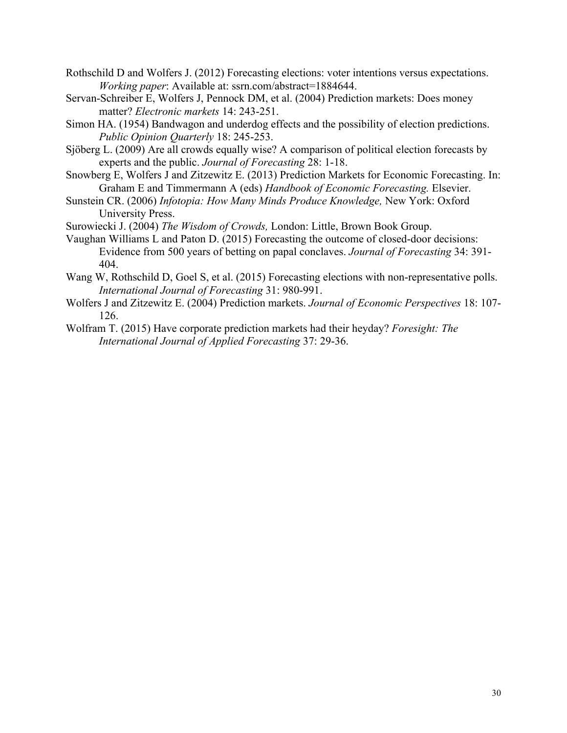- Rothschild D and Wolfers J. (2012) Forecasting elections: voter intentions versus expectations. *Working paper*: Available at: ssrn.com/abstract=1884644.
- Servan-Schreiber E, Wolfers J, Pennock DM, et al. (2004) Prediction markets: Does money matter? *Electronic markets* 14: 243-251.
- Simon HA. (1954) Bandwagon and underdog effects and the possibility of election predictions. *Public Opinion Quarterly* 18: 245-253.
- Sjöberg L. (2009) Are all crowds equally wise? A comparison of political election forecasts by experts and the public. *Journal of Forecasting* 28: 1-18.
- Snowberg E, Wolfers J and Zitzewitz E. (2013) Prediction Markets for Economic Forecasting. In: Graham E and Timmermann A (eds) *Handbook of Economic Forecasting.* Elsevier.
- Sunstein CR. (2006) *Infotopia: How Many Minds Produce Knowledge,* New York: Oxford University Press.
- Surowiecki J. (2004) *The Wisdom of Crowds,* London: Little, Brown Book Group.
- Vaughan Williams L and Paton D. (2015) Forecasting the outcome of closed-door decisions: Evidence from 500 years of betting on papal conclaves. *Journal of Forecasting* 34: 391- 404.
- Wang W, Rothschild D, Goel S, et al. (2015) Forecasting elections with non-representative polls. *International Journal of Forecasting* 31: 980-991.
- Wolfers J and Zitzewitz E. (2004) Prediction markets. *Journal of Economic Perspectives* 18: 107- 126.
- Wolfram T. (2015) Have corporate prediction markets had their heyday? *Foresight: The International Journal of Applied Forecasting* 37: 29-36.